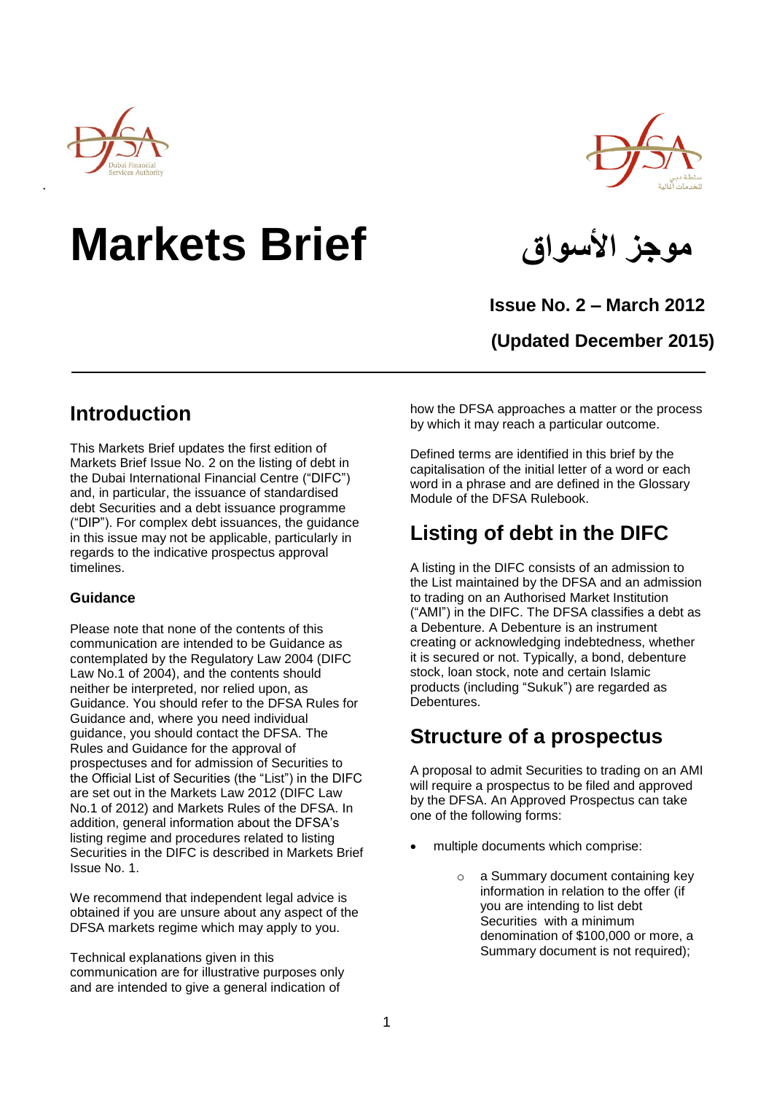

# **موجز األسواق Brief Markets**



 **Issue No. 2 – March 2012**

**(Updated December 2015)**

### **Introduction**

This Markets Brief updates the first edition of Markets Brief Issue No. 2 on the listing of debt in the Dubai International Financial Centre ("DIFC") and, in particular, the issuance of standardised debt Securities and a debt issuance programme ("DIP"). For complex debt issuances, the guidance in this issue may not be applicable, particularly in regards to the indicative prospectus approval timelines.

### **Guidance**

Please note that none of the contents of this communication are intended to be Guidance as contemplated by the Regulatory Law 2004 (DIFC Law No.1 of 2004), and the contents should neither be interpreted, nor relied upon, as Guidance. You should refer to the DFSA Rules for Guidance and, where you need individual guidance, you should contact the DFSA. The Rules and Guidance for the approval of prospectuses and for admission of Securities to the Official List of Securities (the "List") in the DIFC are set out in the Markets Law 2012 (DIFC Law No.1 of 2012) and Markets Rules of the DFSA. In addition, general information about the DFSA's listing regime and procedures related to listing Securities in the DIFC is described in Markets Brief Issue No. 1.

We recommend that independent legal advice is obtained if you are unsure about any aspect of the DFSA markets regime which may apply to you.

Technical explanations given in this communication are for illustrative purposes only and are intended to give a general indication of

how the DFSA approaches a matter or the process by which it may reach a particular outcome.

Defined terms are identified in this brief by the capitalisation of the initial letter of a word or each word in a phrase and are defined in the Glossary Module of the DFSA Rulebook.

## **Listing of debt in the DIFC**

A listing in the DIFC consists of an admission to the List maintained by the DFSA and an admission to trading on an Authorised Market Institution ("AMI") in the DIFC. The DFSA classifies a debt as a Debenture. A Debenture is an instrument creating or acknowledging indebtedness, whether it is secured or not. Typically, a bond, debenture stock, loan stock, note and certain Islamic products (including "Sukuk") are regarded as Debentures.

### **Structure of a prospectus**

A proposal to admit Securities to trading on an AMI will require a prospectus to be filed and approved by the DFSA. An Approved Prospectus can take one of the following forms:

- multiple documents which comprise:
	- o a Summary document containing key information in relation to the offer (if you are intending to list debt Securities with a minimum denomination of \$100,000 or more, a Summary document is not required);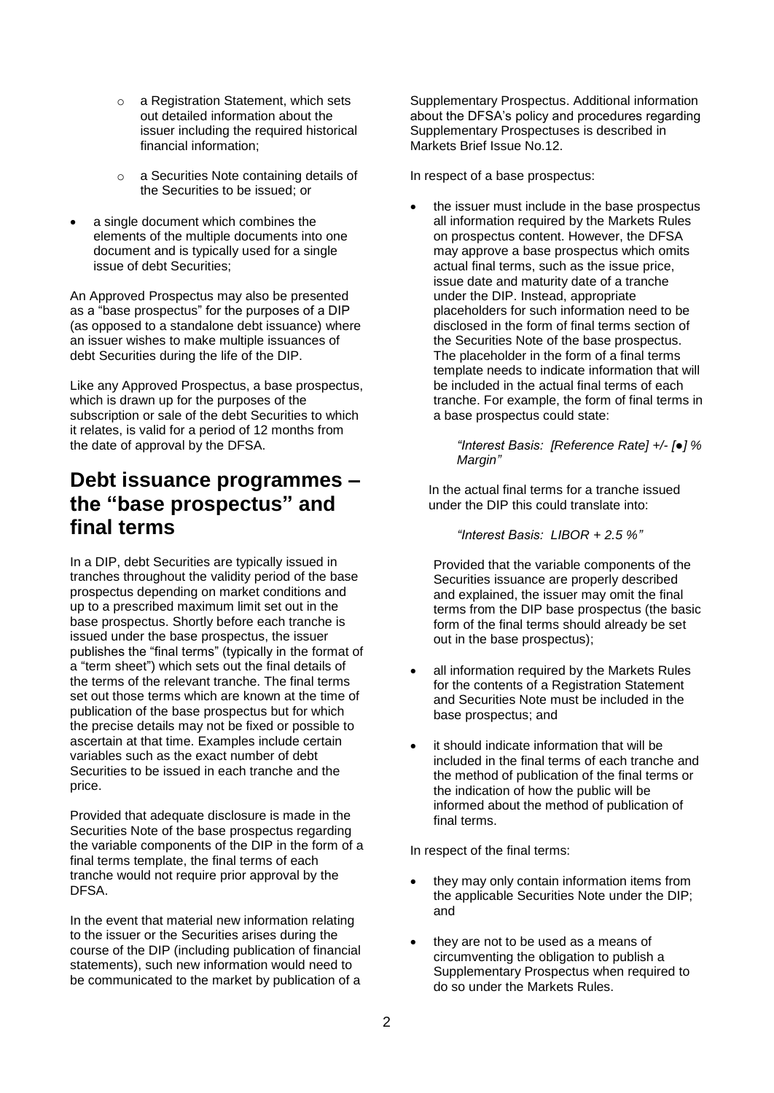- o a Registration Statement, which sets out detailed information about the issuer including the required historical financial information;
- o a Securities Note containing details of the Securities to be issued; or
- a single document which combines the elements of the multiple documents into one document and is typically used for a single issue of debt Securities;

An Approved Prospectus may also be presented as a "base prospectus" for the purposes of a DIP (as opposed to a standalone debt issuance) where an issuer wishes to make multiple issuances of debt Securities during the life of the DIP.

Like any Approved Prospectus, a base prospectus, which is drawn up for the purposes of the subscription or sale of the debt Securities to which it relates, is valid for a period of 12 months from the date of approval by the DFSA.

### **Debt issuance programmes – the "base prospectus" and final terms**

In a DIP, debt Securities are typically issued in tranches throughout the validity period of the base prospectus depending on market conditions and up to a prescribed maximum limit set out in the base prospectus. Shortly before each tranche is issued under the base prospectus, the issuer publishes the "final terms" (typically in the format of a "term sheet") which sets out the final details of the terms of the relevant tranche. The final terms set out those terms which are known at the time of publication of the base prospectus but for which the precise details may not be fixed or possible to ascertain at that time. Examples include certain variables such as the exact number of debt Securities to be issued in each tranche and the price.

Provided that adequate disclosure is made in the Securities Note of the base prospectus regarding the variable components of the DIP in the form of a final terms template, the final terms of each tranche would not require prior approval by the **DESA** 

In the event that material new information relating to the issuer or the Securities arises during the course of the DIP (including publication of financial statements), such new information would need to be communicated to the market by publication of a

Supplementary Prospectus. Additional information about the DFSA's policy and procedures regarding Supplementary Prospectuses is described in Markets Brief Issue No.12.

In respect of a base prospectus:

 the issuer must include in the base prospectus all information required by the Markets Rules on prospectus content. However, the DFSA may approve a base prospectus which omits actual final terms, such as the issue price, issue date and maturity date of a tranche under the DIP. Instead, appropriate placeholders for such information need to be disclosed in the form of final terms section of the Securities Note of the base prospectus. The placeholder in the form of a final terms template needs to indicate information that will be included in the actual final terms of each tranche. For example, the form of final terms in a base prospectus could state:

> *"Interest Basis: [Reference Rate] +/- [●] % Margin"*

In the actual final terms for a tranche issued under the DIP this could translate into:

*"Interest Basis: LIBOR + 2.5 %"*

Provided that the variable components of the Securities issuance are properly described and explained, the issuer may omit the final terms from the DIP base prospectus (the basic form of the final terms should already be set out in the base prospectus);

- all information required by the Markets Rules for the contents of a Registration Statement and Securities Note must be included in the base prospectus; and
- it should indicate information that will be included in the final terms of each tranche and the method of publication of the final terms or the indication of how the public will be informed about the method of publication of final terms.

In respect of the final terms:

- they may only contain information items from the applicable Securities Note under the DIP; and
- they are not to be used as a means of circumventing the obligation to publish a Supplementary Prospectus when required to do so under the Markets Rules.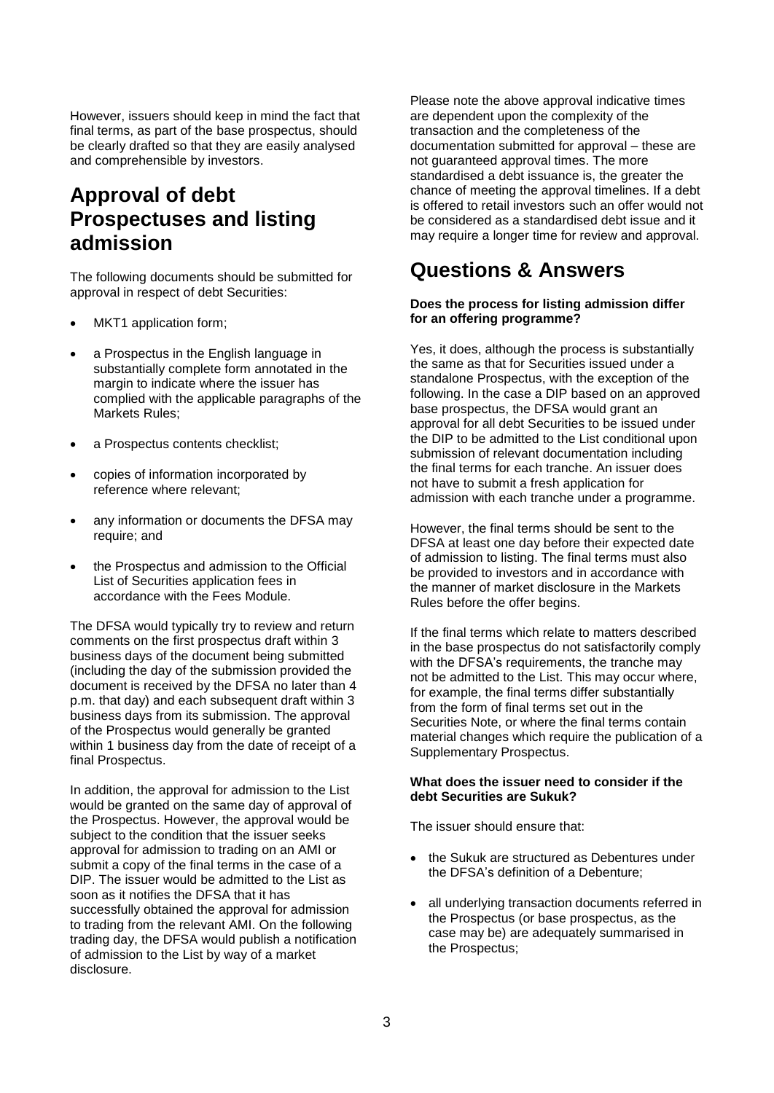However, issuers should keep in mind the fact that final terms, as part of the base prospectus, should be clearly drafted so that they are easily analysed and comprehensible by investors.

### **Approval of debt Prospectuses and listing admission**

The following documents should be submitted for approval in respect of debt Securities:

- MKT1 application form;
- a Prospectus in the English language in substantially complete form annotated in the margin to indicate where the issuer has complied with the applicable paragraphs of the Markets Rules;
- a Prospectus contents checklist;
- copies of information incorporated by reference where relevant;
- any information or documents the DFSA may require; and
- the Prospectus and admission to the Official List of Securities application fees in accordance with the Fees Module.

The DFSA would typically try to review and return comments on the first prospectus draft within 3 business days of the document being submitted (including the day of the submission provided the document is received by the DFSA no later than 4 p.m. that day) and each subsequent draft within 3 business days from its submission. The approval of the Prospectus would generally be granted within 1 business day from the date of receipt of a final Prospectus.

In addition, the approval for admission to the List would be granted on the same day of approval of the Prospectus. However, the approval would be subject to the condition that the issuer seeks approval for admission to trading on an AMI or submit a copy of the final terms in the case of a DIP. The issuer would be admitted to the List as soon as it notifies the DFSA that it has successfully obtained the approval for admission to trading from the relevant AMI. On the following trading day, the DFSA would publish a notification of admission to the List by way of a market disclosure.

Please note the above approval indicative times are dependent upon the complexity of the transaction and the completeness of the documentation submitted for approval – these are not guaranteed approval times. The more standardised a debt issuance is, the greater the chance of meeting the approval timelines. If a debt is offered to retail investors such an offer would not be considered as a standardised debt issue and it may require a longer time for review and approval.

### **Questions & Answers**

#### **Does the process for listing admission differ for an offering programme?**

Yes, it does, although the process is substantially the same as that for Securities issued under a standalone Prospectus, with the exception of the following. In the case a DIP based on an approved base prospectus, the DFSA would grant an approval for all debt Securities to be issued under the DIP to be admitted to the List conditional upon submission of relevant documentation including the final terms for each tranche. An issuer does not have to submit a fresh application for admission with each tranche under a programme.

However, the final terms should be sent to the DFSA at least one day before their expected date of admission to listing. The final terms must also be provided to investors and in accordance with the manner of market disclosure in the Markets Rules before the offer begins.

If the final terms which relate to matters described in the base prospectus do not satisfactorily comply with the DFSA's requirements, the tranche may not be admitted to the List. This may occur where, for example, the final terms differ substantially from the form of final terms set out in the Securities Note, or where the final terms contain material changes which require the publication of a Supplementary Prospectus.

#### **What does the issuer need to consider if the debt Securities are Sukuk?**

The issuer should ensure that:

- the Sukuk are structured as Debentures under the DFSA's definition of a Debenture;
- all underlying transaction documents referred in the Prospectus (or base prospectus, as the case may be) are adequately summarised in the Prospectus;